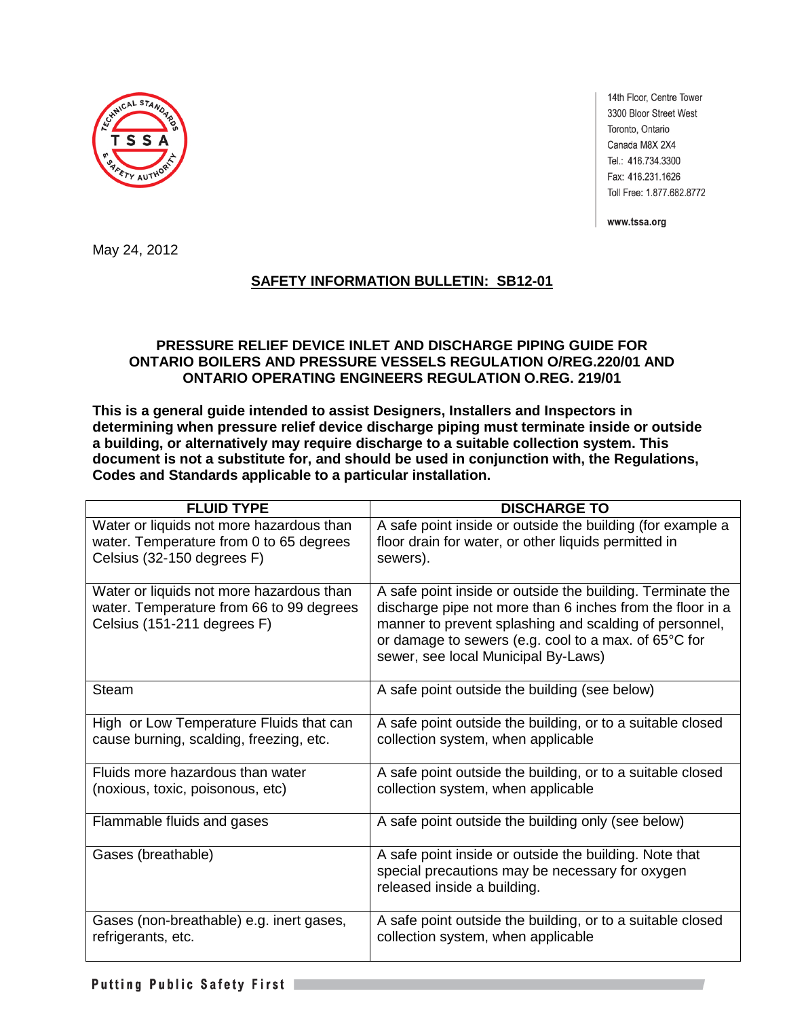

14th Floor, Centre Tower 3300 Bloor Street West Toronto, Ontario Canada M8X 2X4 Tel.: 416.734.3300 Fax: 416.231.1626 Toll Free: 1.877.682.8772

www.tssa.org

May 24, 2012

# **SAFETY INFORMATION BULLETIN: SB12-01**

# **PRESSURE RELIEF DEVICE INLET AND DISCHARGE PIPING GUIDE FOR ONTARIO BOILERS AND PRESSURE VESSELS REGULATION O/REG.220/01 AND ONTARIO OPERATING ENGINEERS REGULATION O.REG. 219/01**

**This is a general guide intended to assist Designers, Installers and Inspectors in determining when pressure relief device discharge piping must terminate inside or outside a building, or alternatively may require discharge to a suitable collection system. This document is not a substitute for, and should be used in conjunction with, the Regulations, Codes and Standards applicable to a particular installation.** 

| <b>FLUID TYPE</b>                                                                                                   | <b>DISCHARGE TO</b>                                                                                                                                                                                                                                                              |
|---------------------------------------------------------------------------------------------------------------------|----------------------------------------------------------------------------------------------------------------------------------------------------------------------------------------------------------------------------------------------------------------------------------|
| Water or liquids not more hazardous than<br>water. Temperature from 0 to 65 degrees<br>Celsius (32-150 degrees F)   | A safe point inside or outside the building (for example a<br>floor drain for water, or other liquids permitted in<br>sewers).                                                                                                                                                   |
| Water or liquids not more hazardous than<br>water. Temperature from 66 to 99 degrees<br>Celsius (151-211 degrees F) | A safe point inside or outside the building. Terminate the<br>discharge pipe not more than 6 inches from the floor in a<br>manner to prevent splashing and scalding of personnel,<br>or damage to sewers (e.g. cool to a max. of 65°C for<br>sewer, see local Municipal By-Laws) |
| <b>Steam</b>                                                                                                        | A safe point outside the building (see below)                                                                                                                                                                                                                                    |
| High or Low Temperature Fluids that can<br>cause burning, scalding, freezing, etc.                                  | A safe point outside the building, or to a suitable closed<br>collection system, when applicable                                                                                                                                                                                 |
| Fluids more hazardous than water<br>(noxious, toxic, poisonous, etc)                                                | A safe point outside the building, or to a suitable closed<br>collection system, when applicable                                                                                                                                                                                 |
| Flammable fluids and gases                                                                                          | A safe point outside the building only (see below)                                                                                                                                                                                                                               |
| Gases (breathable)                                                                                                  | A safe point inside or outside the building. Note that<br>special precautions may be necessary for oxygen<br>released inside a building.                                                                                                                                         |
| Gases (non-breathable) e.g. inert gases,<br>refrigerants, etc.                                                      | A safe point outside the building, or to a suitable closed<br>collection system, when applicable                                                                                                                                                                                 |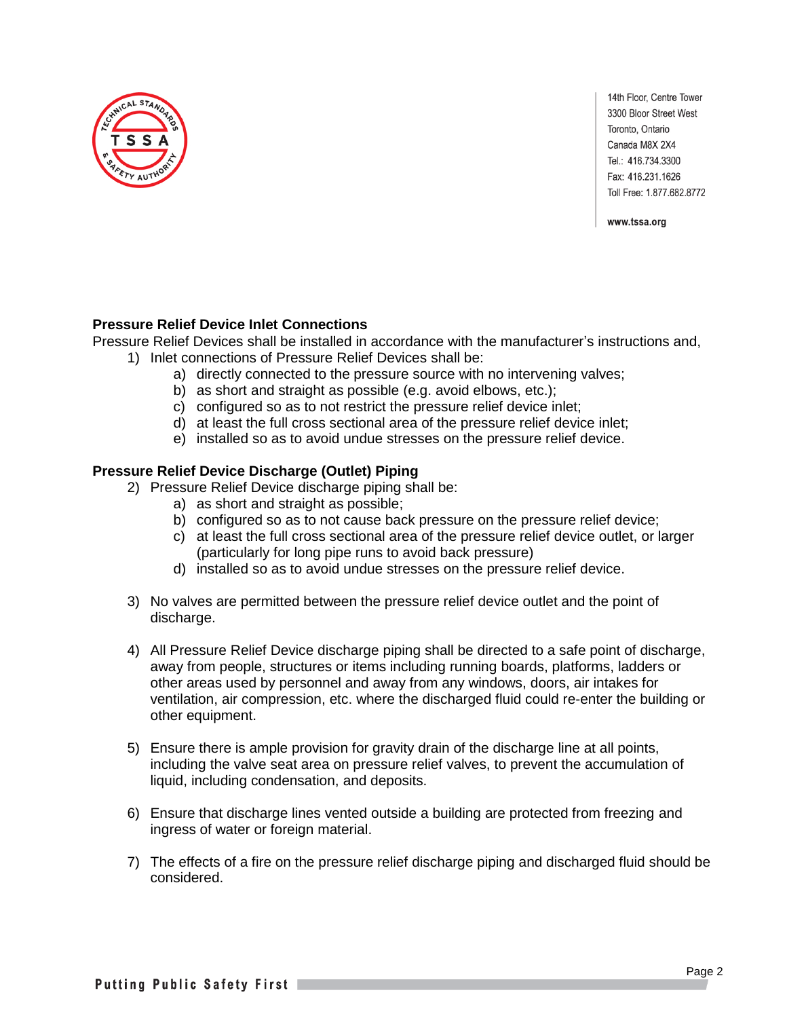

14th Floor, Centre Tower 3300 Bloor Street West Toronto, Ontario Canada M8X 2X4 Tel.: 416.734.3300 Fax: 416.231.1626 Toll Free: 1.877.682.8772

www.tssa.org

## **Pressure Relief Device Inlet Connections**

Pressure Relief Devices shall be installed in accordance with the manufacturer's instructions and,

- 1) Inlet connections of Pressure Relief Devices shall be:
	- a) directly connected to the pressure source with no intervening valves;
	- b) as short and straight as possible (e.g. avoid elbows, etc.);
	- c) configured so as to not restrict the pressure relief device inlet;
	- d) at least the full cross sectional area of the pressure relief device inlet;
	- e) installed so as to avoid undue stresses on the pressure relief device.

# **Pressure Relief Device Discharge (Outlet) Piping**

- 2) Pressure Relief Device discharge piping shall be:
	- a) as short and straight as possible;
	- b) configured so as to not cause back pressure on the pressure relief device;
	- c) at least the full cross sectional area of the pressure relief device outlet, or larger (particularly for long pipe runs to avoid back pressure)
	- d) installed so as to avoid undue stresses on the pressure relief device.
- 3) No valves are permitted between the pressure relief device outlet and the point of discharge.
- 4) All Pressure Relief Device discharge piping shall be directed to a safe point of discharge, away from people, structures or items including running boards, platforms, ladders or other areas used by personnel and away from any windows, doors, air intakes for ventilation, air compression, etc. where the discharged fluid could re-enter the building or other equipment.
- 5) Ensure there is ample provision for gravity drain of the discharge line at all points, including the valve seat area on pressure relief valves, to prevent the accumulation of liquid, including condensation, and deposits.
- 6) Ensure that discharge lines vented outside a building are protected from freezing and ingress of water or foreign material.
- 7) The effects of a fire on the pressure relief discharge piping and discharged fluid should be considered.